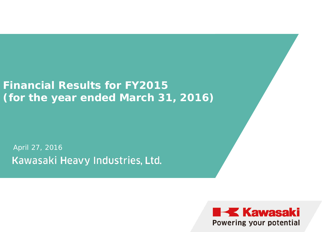### **Financial Results for FY2015 (for the year ended March 31, 2016)**

April 27, 2016Kawasaki Heavy Industries, Ltd.

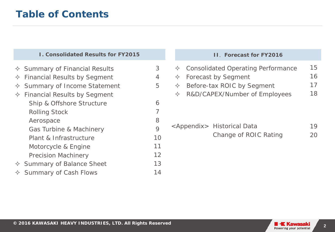### **Table of Contents**

#### **I. Consolidated Results for FY2015**

- 3 4 5 6 7 8 9 10 11 12 13 14  $\Diamond$  Summary of Financial Results  $\Diamond$  Financial Results by Segment  $\Diamond$  Summary of Income Statement  $\Diamond$  Financial Results by Segment Ship & Offshore Structure Rolling Stock Aerospace Gas Turbine & Machinery Plant & Infrastructure Motorcycle & Engine Precision Machinery  $\Diamond$  Summary of Balance Sheet
- $\Diamond$  Summary of Cash Flows

#### **II**. **Forecast for FY2016**

| $\Diamond$ Consolidated Operating Performance | 15 |
|-----------------------------------------------|----|
| $\Diamond$ Forecast by Segment                | 16 |
| $\Diamond$ Before-tax ROIC by Segment         | 1/ |
| $\Diamond$ R&D/CAPEX/Number of Employees      | 18 |
|                                               |    |
|                                               |    |

<Appendix> Historical Data Change of ROIC Rating 19 20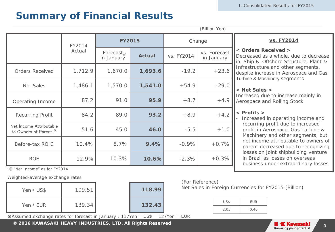### **Summary of Financial Results**

|                                                  |         |                            |               |            | (Billion Yen)              |  |
|--------------------------------------------------|---------|----------------------------|---------------|------------|----------------------------|--|
|                                                  | FY2014  | <b>FY2015</b>              |               | Change     |                            |  |
|                                                  | Actual  | Forecast $x$<br>in January | <b>Actual</b> | vs. FY2014 | vs. Forecast<br>in January |  |
| <b>Orders Received</b>                           | 1,712.9 | 1,670.0                    | 1,693.6       | $-19.2$    | $+23.6$                    |  |
| <b>Net Sales</b>                                 | 1,486.1 | 1,570.0                    | 1,541.0       | $+54.9$    | $-29.0$                    |  |
| Operating Income                                 | 87.2    | 91.0                       | 95.9          | $+8.7$     | $+4.9$                     |  |
| <b>Recurring Profit</b>                          | 84.2    | 89.0                       | 93.2          | $+8.9$     | $+4.2$                     |  |
| Net Income Attributable<br>to Owners of Parent * | 51.6    | 45.0                       | 46.0          | $-5.5$     | $+1.0$                     |  |
| Before-tax ROIC                                  | 10.4%   | 8.7%                       | 9.4%          | $-0.9%$    | $+0.7%$                    |  |
| <b>ROE</b>                                       | 12.9%   | 10.3%                      | 10.6%         | $-2.3%$    | $+0.3%$                    |  |

#### **vs. FY2014**

#### **< Orders Received >**

Decreased as a whole, due to decrease in Ship & Offshore Structure, Plant & Infrastructure and other segments, despite increase in Aerospace and Gas Turbine & Machinery segments

#### **< Net Sales >**

Increased due to increase mainly in Aerospace and Rolling Stock

#### **< Profits >**

- Increased in operating income and recurring profit due to increased profit in Aerospace, Gas Turbine & Machinery and other segments, but net income attributable to owners of parent decreased due to recognizing losses on joint shipbuilding venture in Brazil as losses on overseas business under extraordinary losses

※ "Net Income" as for FY2014

Weighted-average exchange rates

| Yen / US\$ | 109.51 | 118.99 |
|------------|--------|--------|
| Yen / EUR  | 139.34 | 132.43 |

| 118.99     |      |
|------------|------|
| 132.43     |      |
| 11S<br>′ar | 1つフV |

#### (For Reference)

Net Sales in Foreign Currencies for FY2015 (Billion)

| US\$ | <b>EUR</b> |
|------|------------|
| 2.05 | 0.40       |

 $\%$ Assumed exchange rates for forecast in January : 117Yen = US\$ 127Yen = EUR

**C** 2016 KAWASAKI HEAVY INDUSTRIES, LTD. All Rights Reserved<br> **2016 Example 2016 All Powering your potential**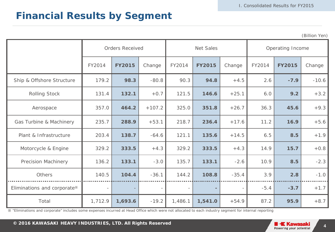### **Financial Results by Segment**

(Billion Yen)

|                             | <b>Orders Received</b> |               |          | Net Sales                |               |         | Operating Income |               |         |
|-----------------------------|------------------------|---------------|----------|--------------------------|---------------|---------|------------------|---------------|---------|
|                             | FY2014                 | <b>FY2015</b> | Change   | FY2014                   | <b>FY2015</b> | Change  | FY2014           | <b>FY2015</b> | Change  |
| Ship & Offshore Structure   | 179.2                  | 98.3          | $-80.8$  | 90.3                     | 94.8          | $+4.5$  | 2.6              | $-7.9$        | $-10.6$ |
| <b>Rolling Stock</b>        | 131.4                  | 132.1         | $+0.7$   | 121.5                    | 146.6         | $+25.1$ | 6.0              | 9.2           | $+3.2$  |
| Aerospace                   | 357.0                  | 464.2         | $+107.2$ | 325.0                    | 351.8         | $+26.7$ | 36.3             | 45.6          | $+9.3$  |
| Gas Turbine & Machinery     | 235.7                  | 288.9         | $+53.1$  | 218.7                    | 236.4         | $+17.6$ | 11.2             | 16.9          | $+5.6$  |
| Plant & Infrastructure      | 203.4                  | 138.7         | $-64.6$  | 121.1                    | 135.6         | $+14.5$ | 6.5              | 8.5           | $+1.9$  |
| Motorcycle & Engine         | 329.2                  | 333.5         | $+4.3$   | 329.2                    | 333.5         | $+4.3$  | 14.9             | 15.7          | $+0.8$  |
| <b>Precision Machinery</b>  | 136.2                  | 133.1         | $-3.0$   | 135.7                    | 133.1         | $-2.6$  | 10.9             | 8.5           | $-2.3$  |
| Others                      | 140.5                  | 104.4         | $-36.1$  | 144.2                    | 108.8         | $-35.4$ | 3.9              | 2.8           | $-1.0$  |
| Eliminations and corporate* |                        |               |          | $\overline{\phantom{a}}$ |               |         | $-5.4$           | $-3.7$        | $+1.7$  |
| Total                       | 1,712.9                | 1,693.6       | $-19.2$  | 1,486.1                  | 1,541.0       | $+54.9$ | 87.2             | 95.9          | $+8.7$  |

※ "Eliminations and corporate" includes some expenses incurred at Head Office which were not allocated to each industry segment for internal reporting

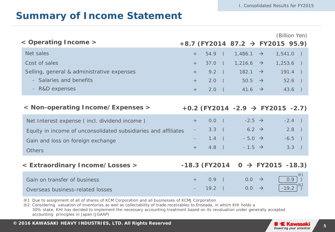### **Summary of Income Statement**

| < Operating Income >                                           |     |          |                | +8.7 (FY2014 87.2 $\rightarrow$ FY2015 95.9)   |                      | (Billion Yen) |            |
|----------------------------------------------------------------|-----|----------|----------------|------------------------------------------------|----------------------|---------------|------------|
| Net sales                                                      | $+$ | $54.9$ ( |                | $1,486.1 \rightarrow$                          |                      | $1,541.0$ )   |            |
| Cost of sales                                                  | $+$ | 37.0     | $\sqrt{2}$     | $1,216.6$ $\rightarrow$                        |                      | $1,253.6$ )   |            |
| Selling, general & administrative expenses                     | $+$ | $9.2$ (  |                | $182.1 \rightarrow$                            |                      | $191.4$ )     |            |
| - Salaries and benefits                                        | $+$ |          |                | $2.0$ (                                        | $50.5 \rightarrow$   | $52.6$ )      |            |
| - R&D expenses                                                 | $+$ | $2.0$ (  |                | 41.6 $\rightarrow$                             |                      | $43.6$ )      |            |
| < Non-operating Income/Expenses >                              |     |          |                | $+0.2$ (FY2014 -2.9 $\rightarrow$ FY2015 -2.7) |                      |               |            |
| Net Interest expense (incl. dividend income)                   | $+$ | 0.0      | $\sqrt{2}$     | $-2.5 \rightarrow$                             |                      | $-2.4$ )      |            |
| Equity in income of unconsolidated subsidiaries and affiliates |     | 3.3      | $\blacksquare$ |                                                | $6.2 \rightarrow$    | $2.8$ )       |            |
| Gain and loss on foreign exchange                              |     | $1.4$ (  |                |                                                | $-5.0$ $\rightarrow$ | $-6.5$ )      |            |
| <b>Others</b>                                                  | $+$ | $4.8$ (  |                | $-1.5$ $\rightarrow$                           |                      | 3.3)          |            |
| < Extraordinary Income/Losses >                                |     |          |                | $-18.3$ (FY2014 0 $\rightarrow$ FY2015 -18.3)  |                      |               |            |
| Gain on transfer of business                                   | $+$ | 0.9      |                | $0.0 \rightarrow$                              |                      | 0.9           | $\times 1$ |
| Overseas business-related losses                               |     | 19.2     |                | 0.0                                            | $\rightarrow$        | $-19.2$       |            |

※1 Due to assignment of all of shares of KCM Corporation and all businesses of KCMJ Corporation

※2 Considering valuation of inventories as well as collectability of trade receivables to Enseada, in which KHI holds a 30% stake, KHI has decided to implement the necessary accounting treatment based on its revaluation under generally accepted accounting principles in Japan (JGAAP)

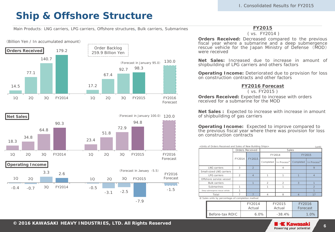### **Ship & Offshore Structure**

Main Products: LNG carriers, LPG carriers, Offshore structures, Bulk carriers, Submarines





#### **FY2015**

( vs. FY2014 )

**Orders Received:** Decreased compared to the previous fiscal year where a submarine and a deep submergence rescue vehicle for the Japan Ministry of Defense (MOD) were received

**Net Sales:** Increased due to increase in amount of shipbuilding of LPG carriers and others factors

**Operating Income:** Deteriorated due to provision for loss on construction contracts and other factors

#### **FY2016 Forecast**

( vs. FY2015 )

**Orders Received:** Expected to increase with orders received for a submarine for the MOD

**Net Sales :** Expected to increase with increase in amount of shipbuilding of gas carriers

**Operating Income:** Expected to improve compared to the previous fiscal year where there was provision for loss on construction contracts

<Units of Orders Received and Sales of New Building Ships>

|                                                  |                | Orders Received | Sales          |                         |                |             |  |
|--------------------------------------------------|----------------|-----------------|----------------|-------------------------|----------------|-------------|--|
|                                                  |                |                 |                | FY2014                  | FY2015         |             |  |
|                                                  | FY2014         | FY2015          | Completed      | In Process <sup>*</sup> | Completed      | In Process* |  |
| <b>LNG</b> carriers                              | 3              | $\mathfrak{D}$  |                | 4                       |                | 9           |  |
| Small-sized LNG carriers                         |                |                 |                |                         |                |             |  |
| <b>LPG</b> carriers                              | $\mathfrak{D}$ | $\Delta$        |                |                         |                | Δ           |  |
| Offshore service vessel                          |                |                 |                |                         |                |             |  |
| <b>Bulk carriers</b>                             |                |                 | $\mathfrak{D}$ | $\mathcal{P}$           | 3              |             |  |
| Submarines                                       |                |                 |                |                         |                |             |  |
| Deep submergence rescue vehicle                  |                |                 |                |                         |                |             |  |
| Total                                            |                |                 | 4              | 8                       | $\overline{4}$ | 17          |  |
| X Sales units by percentage-of-completion method |                |                 |                |                         |                |             |  |

|                 | FY2014<br>Actual | FY2015<br>Actual | FY2016<br>Forecast |  |
|-----------------|------------------|------------------|--------------------|--|
| Before-tax ROIC | 6.0%             | $-38.4%$         | 1.0%               |  |

 $(u, u)$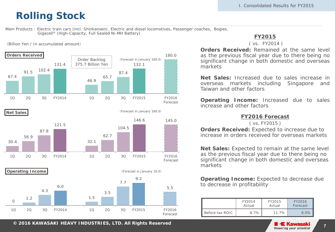### **Rolling Stock**

Main Products : Electric train cars (incl. Shinkansen), Electric and diesel locomotives, Passenger coaches, Bogies, Gigacell® (High-Capacity, Full Sealed Ni-MH Battery)

(Forecast in January 160.0)

(Billion Yen / In accumulated amount)









 $\Omega$ 1.2 4.3 6.0 1.5 3.5 7.7 9.2 5.5 1Q 2Q 3Q FY2014 1Q 2Q 3Q FY2015 FY2016 Forecast **Operating Income** (Forecast in January 10.0)

**FY2015**

#### ( vs. FY2014 )

**Orders Received:** Remained at the same level as the previous fiscal year due to there being no significant change in both domestic and overseas markets

**Net Sales:** Increased due to sales increase in overseas markets including Singapore and Taiwan and other factors

**Operating Income:** Increased due to sales increase and other factors

#### **FY2016 Forecast**

( vs. FY2015 )

**Orders Received:** Expected to increase due to increase in orders received for overseas markets

**Net Sales:** Expected to remain at the same level as the previous fiscal year due to there being no significant change in both domestic and overseas markets

**Operating Income:** Expected to decrease due to decrease in profitability

|                 | FY2014<br>Actual | FY2015<br>Actual | FY2016<br>Forecast |  |
|-----------------|------------------|------------------|--------------------|--|
| Before-tax ROIC | 8.7%             | $11.7\%$         | $8.0\%$            |  |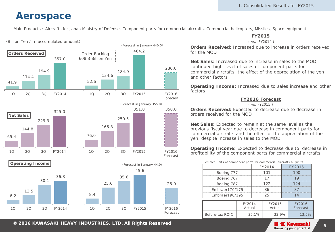### **Aerospace**

Main Products : Aircrafts for Japan Ministry of Defense, Component parts for commercial aircrafts, Commercial helicopters, Missiles, Space equipment

#### (Billion Yen / In accumulated amount)



#### **FY2015**

( vs. FY2014 )

**Orders Received:** Increased due to increase in orders received for the MOD

**Net Sales:** Increased due to increase in sales to the MOD, continued high level of sales of component parts for commercial aircrafts, the effect of the depreciation of the yen and other factors

**Operating Income:** Increased due to sales increase and other factors

#### **FY2016 Forecast**

( vs. FY2015 )

**Orders Received:** Expected to decrease due to decrease in orders received for the MOD

**Net Sales:** Expected to remain at the same level as the previous fiscal year due to decrease in component parts for commercial aircrafts and the effect of the appreciation of the yen, despite increase in sales to the MOD

**Operating Income:** Expected to decrease due to decrease in profitability of the component parts for commercial aircrafts

|                 | < Sales units of component parts for commercial aircrafts > (units) |    |                  |     |                    |  |
|-----------------|---------------------------------------------------------------------|----|------------------|-----|--------------------|--|
|                 |                                                                     |    | FY2014           |     | FY2015             |  |
| Boeing 777      |                                                                     |    | 101              |     |                    |  |
| Boeing 767      |                                                                     |    |                  |     | 19                 |  |
| Boeing 787      |                                                                     |    | 122              | 124 |                    |  |
| Embraer170/175  |                                                                     |    |                  |     |                    |  |
| Embraer190/195  |                                                                     | 25 |                  | 1 Δ |                    |  |
|                 |                                                                     |    |                  |     |                    |  |
|                 | FY2014<br>Actual                                                    |    | FY2015<br>Actual |     | FY2016<br>Forecast |  |
| Before-tax ROIC | 35.1%                                                               |    | 33.9%            |     | 13.5%              |  |

**© 2014 KAWASAKI HEAVY INDUSTRIES, LTD. All Rights Reserved <sup>8</sup> <sup>2016</sup>**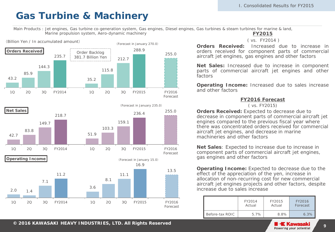### **Gas Turbine & Machinery**

Main Products : Jet engines, Gas turbine co-generation system, Gas engines, Diesel engines, Gas turbines & steam turbines for marine & land, Marine propulsion system, Aero-dynamic machinery





**FY2015**

( vs. FY2014 )

**Orders Received:** Increased due to increase in orders received for component parts of commercial aircraft jet engines, gas engines and other factors

**Net Sales:** Increased due to increase in component parts of commercial aircraft jet engines and other factors

**Operating Income:** Increased due to sales increase and other factors

#### **FY2016 Forecast**

( vs. FY2015)

**Orders Received:** Expected to decrease due to decrease in component parts of commercial aircraft jet engines compared to the previous fiscal year where there was concentrated orders received for commercial aircraft jet engines, and decrease in marine machineries and other factors

**Net Sales**: Expected to increase due to increase in component parts of commercial aircraft jet engines, gas engines and other factors

**Operating Income:** Expected to decrease due to the effect of the appreciation of the yen, increase in allocation of non-recurring cost for new commercial aircraft jet engines projects and other factors, despite increase due to sales increase

|                 | FY2014  | FY2015 | FY2016   |  |
|-----------------|---------|--------|----------|--|
|                 | Actual  | Actual | Forecast |  |
| Before-tax ROIC | $5.7\%$ | 8.8%   | 6.3%     |  |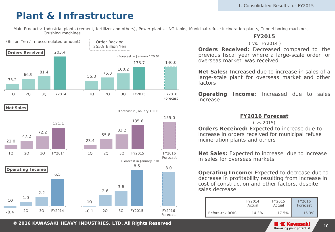### **Plant & Infrastructure**

Main Products: Industrial plants (cement, fertilizer and others), Power plants, LNG tanks, Municipal refuse incineration plants, Tunnel boring machines, Crushing machines



**Net Sales**



**FY2015**

( vs. FY2014 )

**Orders Received:** Decreased compared to the previous fiscal year where a large-scale order for overseas market was received

**Net Sales:** Increased due to increase in sales of a large-scale plant for overseas market and other factors

**Operating Income:** Increased due to sales increase

#### **FY2016 Forecast**

( vs.2015)

**Orders Received:** Expected to increase due to increase in orders received for municipal refuse incineration plants and others

**Net Sales:** Expected to increase due to increase in sales for overseas markets

**Operating Income:** Expected to decrease due to decrease in profitability resulting from increase in cost of construction and other factors, despite sales decrease

|                 | FY2014 | FY2015 | FY2016   |  |
|-----------------|--------|--------|----------|--|
|                 | Actual | Actual | Forecast |  |
| Before-tax ROIC | 14.3%  | 17.5%  | $16.3\%$ |  |

**© 2014 KAWASAKI HEAVY INDUSTRIES, LTD. All Rights Reserved <sup>10</sup> <sup>2016</sup>**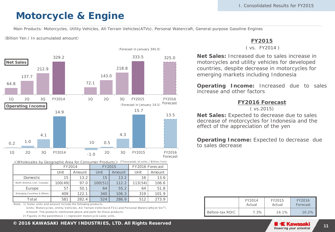### **Motorcycle & Engine**

Main Products: Motorcycles, Utility Vehicles, All-Terrain Vehicles(ATVs), Personal Watercraft, General-purpose Gasoline Engines

(Billion Yen / In accumulated amount)



<Wholesales by Geographic Area for Consumer Products> (T hous ands of units / Billion Y en)

|                              |                | FY2014 |         | FY2015 | FY2016 Forecast |        |  |
|------------------------------|----------------|--------|---------|--------|-----------------|--------|--|
|                              | Unit<br>Amount |        | Unit    | Amount | Unit            | Amount |  |
| Domestic                     | 15             | 13.2   | 15.     | 132    | 16              | 13.6   |  |
| North America (incl. Canada) | 100(49)        | 97.0   | 100(51) | 112.2  |                 | 106.6  |  |
| Europe                       |                | 50.1   |         | 55.2   | 64              | 51 R   |  |
| Emerging Countries & Others  | 409            | 122.1  | 340     | 106.3  | 319             | 101 9  |  |
| Total                        | 581            | 282.4  | 524     | 2869   | 512             | 273.9  |  |

Note: 1) Sales units and amount include the following products.

Units: Motorcycles, Utility Vehicles, All-Terrain Vehicles (ATVs) and Personal Watercraft(Jet Ski®) A mount: The products mentioned above and parts for those products

2) Figures in the parenthesis ( ) represent motorcycle sales units.

### **FY2015**

( vs. FY2014 )

**Net Sales:** Increased due to sales increase in motorcycles and utility vehicles for developed countries, despite decrease in motorcycles for emerging markets including Indonesia

**Operating Income:** Increased due to sales increase and other factors

#### **FY2016 Forecast**

( vs.2015)

**Net Sales:** Expected to decrease due to sales decrease of motorcycles for Indonesia and the effect of the appreciation of the yen

**Operating Income:** Expected to decrease due to sales decrease

|                 | FY2014 | FY2015 | FY2016   |  |
|-----------------|--------|--------|----------|--|
|                 | Actual | Actual | Forecast |  |
| Before-tax ROIC | 7.3%   | 14.1%  | $10.2\%$ |  |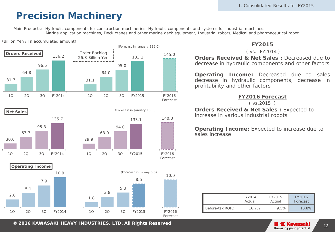### **Precision Machinery**

Main Products: Hydraulic components for construction machineries, Hydraulic components and systems for industrial machines, Marine application machines, Deck cranes and other marine deck equipment, Industrial robots, Medical and pharmaceutical robot







#### ( vs. FY2014 )

**Orders Received & Net Sales :** Decreased due to decrease in hydraulic components and other factors

**Operating Income:** Decreased due to sales decrease in hydraulic components, decrease in profitability and other factors

#### **FY2016 Forecast**

( vs.2015 )

**Orders Received & Net Sales : Expected to** increase in various industrial robots

**Operating Income:** Expected to increase due to sales increase

|                 | FY2014 | FY2015 | FY2016   |  |
|-----------------|--------|--------|----------|--|
|                 | Actual | Actual | Forecast |  |
| Before-tax ROIC | 16.7%  | 9.5%   | $10.8\%$ |  |

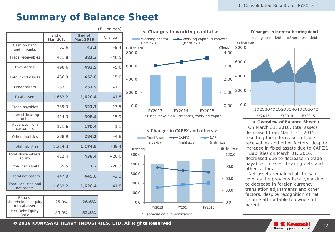【**Changes in interest-bearing debt**】

### **Summary of Balance Sheet**

 $(Dillion V<sub>on</sub>)$ 

|                                            |                     |                     | (DIIIIUITTEIT) |
|--------------------------------------------|---------------------|---------------------|----------------|
|                                            | End of<br>Mar. 2015 | End of<br>Mar. 2016 | Change         |
| Cash on hand<br>and in banks               | 51.6                | 42.1                | $-9.4$         |
| Trade receivables                          | 421.8               | 381.3               | $-40.5$        |
| Inventories                                | 498.6               | 492.9               | $-5.6$         |
| Total fixed assets                         | 436.9               | 452.0               | $+15.0$        |
| Other assets                               | 253.1               | 251.9               | $-1.1$         |
| <b>Total assets</b>                        | 1,662.2             | 1,620.4             | $-41.8$        |
| Trade payables                             | 339.3               | 321.7               | $-17.5$        |
| Interest-bearing<br>debt                   | 414.3               | 398.4               | $-15.9$        |
| Advances from<br>customers                 | 171.6               | 170.4               | $-1.1$         |
| Other liabilities                          | 288.9               | 284.1               | $-4.8$         |
| <b>Total liabilities</b>                   | 1,214.3             | 1,174.8             | $-39.4$        |
| Total shareholders'<br>equity              | 412.4               | 438.4               | $+26.0$        |
| Other net assets                           | 35.5                | 7.2                 | $-28.3$        |
| Total net assets                           | 447.9               | 445.6               | $-2.3$         |
| <b>Total liabilities and</b><br>net assets | 1,662.2             | 1,620.4             | $-41.8$        |

| Ratio of<br>shareholders' equity<br>to total assets | 25.9% | 26.6% |  |
|-----------------------------------------------------|-------|-------|--|
| Net Debt Equity<br>Ratio                            | 83.9% | 82.5% |  |



#### **< Changes in CAPEX and others >**



0.0 200.0 400.0 600.0 800.0 1Q2Q3Q4Q1Q2Q3Q4Q1Q2Q3Q4Q (Billion Yen) Long-term debt Short-term debt

#### FY2013 FY2014 FY2015

#### **< Overview of Balance Sheet >**

 On March 31, 2016, total assets decreased from March 31, 2015, resulting form decrease in trade receivables and other factors, despite increase in fixed assets due to CAPEX. Liabilities on March 31, 2016, decreased due to decrease in trade payables, interest-bearing debt and other factors.

Net assets remained at the same level as the previous fiscal year due to decrease in foreign currency translation adjustments and other factors, despite recognition of net income attributable to owners of parent.

**© 2014 KAWASAKI HEAVY INDUSTRIES, LTD. All Rights Reserved <sup>13</sup> <sup>2016</sup>**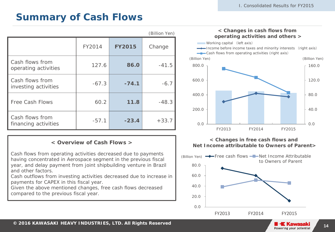### **Summary of Cash Flows**

|                                         |         |               | (Billion Yen) |
|-----------------------------------------|---------|---------------|---------------|
|                                         | FY2014  | <b>FY2015</b> | Change        |
| Cash flows from<br>operating activities | 127.6   | 86.0          | $-41.5$       |
| Cash flows from<br>investing activities | $-67.3$ | $-74.1$       | $-6.7$        |
| <b>Free Cash Flows</b>                  | 60.2    | 11.8          | $-48.3$       |
| Cash flows from<br>financing activities | $-57.1$ | $-23.4$       | $+33.7$       |

#### **< Overview of Cash Flows >**

Cash flows from operating activities decreased due to payments having concentrated in Aerospace segment in the previous fiscal year, and delay payment from joint shipbuilding venture in Brazil and other factors.

Cash outflows from investing activities decreased due to increase in payments for CAPEX in this fiscal year.

Given the above mentioned changes, free cash flows decreased compared to the previous fiscal year.



**< Changes in free cash flows and Net Income attributable to Owners of Parent>**

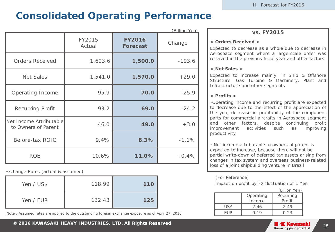### **Consolidated Operating Performance**

|                                                |                  |                                  | <u>(Billion Yen)</u> |
|------------------------------------------------|------------------|----------------------------------|----------------------|
|                                                | FY2015<br>Actual | <b>FY2016</b><br><b>Forecast</b> | Change               |
| <b>Orders Received</b>                         | 1,693.6          | 1,500.0                          | $-193.6$             |
| <b>Net Sales</b>                               | 1,541.0          | 1,570.0                          | $+29.0$              |
| Operating Income                               | 95.9             | 70.0                             | $-25.9$              |
| <b>Recurring Profit</b>                        | 93.2             | 69.0                             | $-24.2$              |
| Net Income Attributable<br>to Owners of Parent | 46.0             | 49.0                             | $+3.0$               |
| Before-tax ROIC                                | 9.4%             | 8.3%                             | $-1.1%$              |
| <b>ROE</b>                                     | 10.6%            | 11.0%                            | $+0.4%$              |

Exchange Rates (actual & assumed)

| Yen / US\$ | 118.99 | 110 |
|------------|--------|-----|
| Yen / EUR  | 132.43 | 125 |

Note : Assumed rates are applied to the outstanding foreign exchange exposure as of April 27, 2016

#### **vs. FY2015**

#### **< Orders Received >**

Expected to decrease as a whole due to decrease in Aerospace segment where a large-scale order was received in the previous fiscal year and other factors

#### **< Net Sales >**

Expected to increase mainly in Ship & Offshore Structure, Gas Turbine & Machinery, Plant and Infrastructure and other segments

#### **< Profits >**

・Operating income and recurring profit are expected to decrease due to the effect of the appreciation of the yen, decrease in profitability of the component parts for commercial aircrafts in Aerospace segment and other factors, despite continuing profit improvement activities such as improving productivity

・ Net income attributable to owners of parent is expected to increase, because there will not be partial write-down of deferred tax assets arising from changes in tax system and overseas business-related loss of a joint shipbuilding venture in Brazil

#### (For Reference)

Impact on profit by FX fluctuation of 1 Yen

|      |           | (Billion Yen)    |
|------|-----------|------------------|
|      | Operating | <b>Recurring</b> |
|      | Income    | Profit           |
| US\$ | 2.46      | 2.49             |
| FUR  | 0.19      | 0.23             |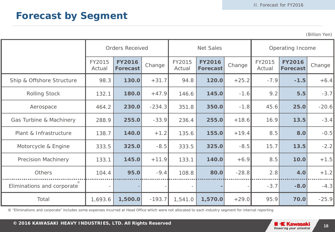### **Forecast by Segment**

(Billion Yen)

|                            |                          | <b>Orders Received</b>           |                            |                          | <b>Net Sales</b>                 |         |                  | Operating Income                 |         |  |
|----------------------------|--------------------------|----------------------------------|----------------------------|--------------------------|----------------------------------|---------|------------------|----------------------------------|---------|--|
|                            | FY2015<br>Actual         | <b>FY2016</b><br><b>Forecast</b> | FY2015<br>Change<br>Actual |                          | <b>FY2016</b><br><b>Forecast</b> | Change  | FY2015<br>Actual | <b>FY2016</b><br><b>Forecast</b> | Change  |  |
| Ship & Offshore Structure  | 98.3                     | 130.0                            | $+31.7$                    | 94.8                     | 120.0                            | $+25.2$ | $-7.9$           | $-1.5$                           | $+6.4$  |  |
| <b>Rolling Stock</b>       | 132.1                    | 180.0                            | $+47.9$                    | 146.6                    | 145.0                            | $-1.6$  | 9.2              | 5.5                              | $-3.7$  |  |
| Aerospace                  | 464.2                    | 230.0                            | $-234.3$                   | 351.8                    | 350.0                            | $-1.8$  | 45.6             | 25.0                             | $-20.6$ |  |
| Gas Turbine & Machinery    | 288.9                    | 255.0                            | $-33.9$                    | 236.4                    | 255.0                            | $+18.6$ | 16.9             | 13.5                             | $-3.4$  |  |
| Plant & Infrastructure     | 138.7                    | 140.0                            | $+1.2$                     | 135.6                    | 155.0                            | $+19.4$ | 8.5              | 8.0                              | $-0.5$  |  |
| Motorcycle & Engine        | 333.5                    | 325.0                            | $-8.5$                     | 333.5                    | 325.0                            | $-8.5$  | 15.7             | 13.5                             | $-2.2$  |  |
| <b>Precision Machinery</b> | 133.1                    | 145.0                            | $+11.9$                    | 133.1                    | 140.0                            | $+6.9$  | 8.5              | 10.0                             | $+1.5$  |  |
| Others                     | 104.4                    | 95.0                             | $-9.4$                     | 108.8                    | 80.0                             | $-28.8$ | 2.8              | 4.0                              | $+1.2$  |  |
| Eliminations and corporate | $\overline{\phantom{a}}$ |                                  |                            | $\overline{\phantom{a}}$ |                                  |         | $-3.7$           | $-8.0$                           | $-4.3$  |  |
| Total                      | 1,693.6                  | 1,500.0                          | $-193.7$                   | 1,541.0                  | 1,570.0                          | $+29.0$ | 95.9             | 70.0                             | $-25.9$ |  |

※ "Eliminations and corporate" includes some expenses incurred at Head Office which were not allocated to each industry segment for internal reporting

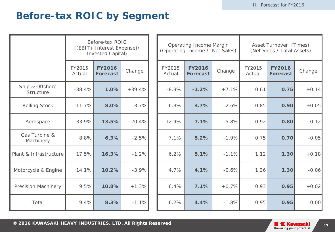### **Before-tax ROIC by Segment**

|                              | Before-tax ROIC<br>((EBIT+ Interest Expense)/<br><b>Invested Capital)</b> |                                  |          | Operating Income Margin<br>(Operating Income / Net Sales) |                                  | Asset Turnover (Times)<br>(Net Sales / Total Assets) |                  |                                  |         |
|------------------------------|---------------------------------------------------------------------------|----------------------------------|----------|-----------------------------------------------------------|----------------------------------|------------------------------------------------------|------------------|----------------------------------|---------|
|                              | FY2015<br>Actual                                                          | <b>FY2016</b><br><b>Forecast</b> | Change   | FY2015<br>Actual                                          | <b>FY2016</b><br><b>Forecast</b> | Change                                               | FY2015<br>Actual | <b>FY2016</b><br><b>Forecast</b> | Change  |
| Ship & Offshore<br>Structure | $-38.4%$                                                                  | 1.0%                             | $+39.4%$ | $-8.3%$                                                   | $-1.2%$                          | $+7.1%$                                              | 0.61             | 0.75                             | $+0.14$ |
| <b>Rolling Stock</b>         | 11.7%                                                                     | 8.0%                             | $-3.7%$  | 6.3%                                                      | 3.7%                             | $-2.6%$                                              | 0.85             | 0.90                             | $+0.05$ |
| Aerospace                    | 33.9%                                                                     | 13.5%                            | $-20.4%$ | 12.9%                                                     | 7.1%                             | $-5.8%$                                              | 0.92             | 0.80                             | $-0.12$ |
| Gas Turbine &<br>Machinery   | 8.8%                                                                      | 6.3%                             | $-2.5%$  | 7.1%                                                      | 5.2%                             | $-1.9%$                                              | 0.75             | 0.70                             | $-0.05$ |
| Plant & Infrastructure       | 17.5%                                                                     | 16.3%                            | $-1.2%$  | 6.2%                                                      | 5.1%                             | $-1.1%$                                              | 1.12             | 1.30                             | $+0.18$ |
| Motorcycle & Engine          | 14.1%                                                                     | 10.2%                            | $-3.9%$  | 4.7%                                                      | 4.1%                             | $-0.6%$                                              | 1.36             | 1.30                             | $-0.06$ |
| Precision Machinery          | 9.5%                                                                      | 10.8%                            | $+1.3%$  | 6.4%                                                      | 7.1%                             | $+0.7%$                                              | 0.93             | 0.95                             | $+0.02$ |
| Total                        | 9.4%                                                                      | 8.3%                             | $-1.1%$  | 6.2%                                                      | 4.4%                             | $-1.8%$                                              | 0.95             | 0.95                             | 0.00    |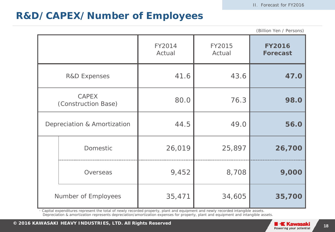### **R&D/CAPEX/Number of Employees**

|                             |                                     |                  |                  | (Billion Yen / Persons)          |
|-----------------------------|-------------------------------------|------------------|------------------|----------------------------------|
|                             |                                     | FY2014<br>Actual | FY2015<br>Actual | <b>FY2016</b><br><b>Forecast</b> |
|                             | <b>R&amp;D Expenses</b>             | 41.6             | 43.6             | 47.0                             |
|                             | <b>CAPEX</b><br>(Construction Base) | 80.0             | 76.3             | 98.0                             |
| Depreciation & Amortization |                                     | 44.5             | 49.0             | 56.0                             |
|                             | Domestic                            | 26,019           | 25,897           | 26,700                           |
|                             | Overseas                            | 9,452            | 8,708            | 9,000                            |
|                             | Number of Employees                 | 35,471           | 34,605           | 35,700                           |

・ Capital expenditures represent the total of newly recorded property, plant and equipment and newly recorded intangible assets. Depreciation & amortization represents depreciation/amortization expenses for property, plant and equipment and intangible assets.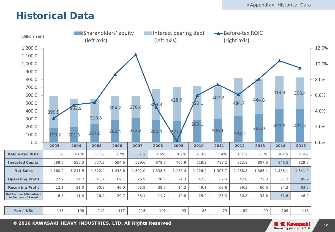### **Historical Data**

| (Billion Yen)                                  |         |         | <b>Shareholders' equity</b><br>(left axis) |         |         | (left axis) | Interest bearing debt |         |         | Before-tax ROIC<br>(right axis) |         |         |         |       |
|------------------------------------------------|---------|---------|--------------------------------------------|---------|---------|-------------|-----------------------|---------|---------|---------------------------------|---------|---------|---------|-------|
| 1,200.0                                        |         |         |                                            |         |         |             |                       |         |         |                                 |         |         |         | 12.0% |
| 1,100.0                                        |         |         |                                            |         |         |             |                       |         |         |                                 |         |         |         |       |
| 1,000.0                                        |         |         |                                            |         |         |             |                       |         |         |                                 |         |         |         | 10.0% |
| 900.0                                          |         |         |                                            |         |         |             |                       |         |         |                                 |         |         |         |       |
| 800.0                                          |         |         |                                            |         |         |             |                       |         |         |                                 |         |         |         | 8.0%  |
| 700.0                                          |         |         |                                            |         |         |             |                       |         |         |                                 |         |         |         |       |
| 600.0                                          |         |         |                                            |         |         |             |                       |         | 407.2   |                                 |         | 414.3   | 398.4   | 6.0%  |
| 500.0                                          |         |         |                                            |         |         | 389.3       | 428.9                 | 29.1    |         | 484.7                           | 444.6   |         |         |       |
| 400.0                                          | 399.5   | 353.9   |                                            | 304.2   | 276.4   |             |                       |         |         |                                 |         |         |         | 4.0%  |
| 300.0                                          |         |         | 319.8                                      |         |         |             |                       |         |         |                                 |         |         |         |       |
| 200.0                                          |         |         |                                            |         | 313.2   |             |                       | 289.1   | 306.1   |                                 | 363.0   | 431.9   | 431.3   | 2.0%  |
| 100.0                                          | 190.2   | 201.5   | 237.6                                      | 290.4   |         | 290.4       | 27.                   |         |         | 338.2                           |         |         |         |       |
| 0.0                                            | 2003    | 2004    | 2005                                       | 2006    | 2007    | 2008        | 2009                  | 2010    | 2011    | 2012                            | 2013    | 2014    | 2015    | 0.0%  |
| <b>Before-tax ROIC</b>                         | 3.1%    | 4.8%    | 5.1%                                       | 8.7%    | 11.2%   | 4.5%        | 0.2%                  | 6.0%    | 7.4%    | 6.1%                            | 8.1%    | 10.4%   | 9.4%    |       |
| <b>Invested Capital</b>                        | 589.6   | 555.3   | 557.3                                      | 594.6   | 589.6   | 679.7       | 705.9                 | 718.2   | 713.2   | 822.8                           | 807.6   | 846.3   | 829.7   |       |
| <b>Net Sales</b>                               | 1,160.2 | 1,241.5 | 1,322.4                                    | 1,438.6 | 1,501.0 | 1,338.5     | 1,173.4               | 1,226.9 | 1,303.7 | 1,288.8                         | 1,385.4 | 1,486.1 | 1,541.0 |       |
|                                                |         |         |                                            |         |         |             |                       |         |         |                                 |         |         |         |       |
| <b>Operating Profit</b>                        | 22.2    | 24.7    | 41.7                                       | 69.1    | 76.9    | 28.7        | $-1.3$                | 42.6    | 57.4    | 42.0                            | 72.3    | 87.2    | 95.9    |       |
| <b>Recurring Profit</b>                        | 12.1    | 21.0    | 30.8                                       | 49.0    | 63.9    | 38.7        | 14.2                  | 49.1    | 63.6    | 39.3                            | 60.6    | 84.2    | 93.2    |       |
| Net Income Attributable<br>to Owners of Parent | 6.3     | 11.4    | 16.4                                       | 29.7    | 35.1    | 11.7        | $-10.8$               | 25.9    | 23.3    | 30.8                            | 38.6    | 51.6    | 46.0    |       |
|                                                |         |         |                                            |         |         |             |                       |         |         |                                 |         |         |         |       |
| Yen / US\$                                     | 113     | 108     | 112                                        | 117     | 115     | 101         | 93                    | 86      | 79      | 82                              | 99      | 109     | 118     |       |

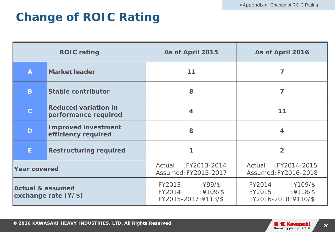## **Change of ROIC Rating**

| <b>ROIC rating</b>                                                  |                                                     | As of April 2015                                                     | As of April 2016                                                      |  |  |  |
|---------------------------------------------------------------------|-----------------------------------------------------|----------------------------------------------------------------------|-----------------------------------------------------------------------|--|--|--|
| A                                                                   | <b>Market leader</b>                                | 11                                                                   | 7                                                                     |  |  |  |
| B.                                                                  | <b>Stable contributor</b>                           | 8                                                                    | 7                                                                     |  |  |  |
| $\mathbf C$                                                         | <b>Reduced variation in</b><br>performance required | $\overline{4}$                                                       | 11                                                                    |  |  |  |
| D                                                                   | <b>Improved investment</b><br>efficiency required   | 8                                                                    | $\overline{\mathbf{4}}$                                               |  |  |  |
| E                                                                   | <b>Restructuring required</b>                       |                                                                      | $\overline{2}$                                                        |  |  |  |
| <b>Year covered</b>                                                 |                                                     | Actual : FY2013-2014<br>Assumed: FY2015-2017                         | :FY2014-2015<br>Actual<br>Assumed: FY2016-2018                        |  |  |  |
| <b>Actual &amp; assumed</b><br>exchange rate $(\frac{4}{\sqrt{5}})$ |                                                     | FY2013<br>$:499/$ \$<br>FY2014<br>$:4109/$ \$<br>FY2015-2017:¥113/\$ | FY2014<br>$:4109/$ \$<br>$:4118/$ \$<br>FY2015<br>FY2016-2018:¥110/\$ |  |  |  |